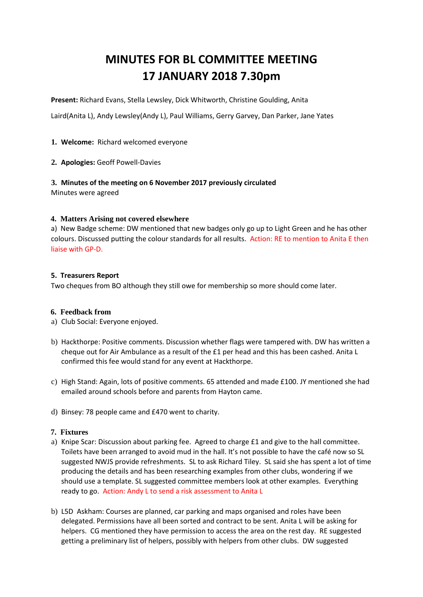# **MINUTES FOR BL COMMITTEE MEETING 17 JANUARY 2018 7.30pm**

**Present:** Richard Evans, Stella Lewsley, Dick Whitworth, Christine Goulding, Anita

Laird(Anita L), Andy Lewsley(Andy L), Paul Williams, Gerry Garvey, Dan Parker, Jane Yates

## **1. Welcome:** Richard welcomed everyone

**2. Apologies:** Geoff Powell-Davies

## **3. Minutes of the meeting on 6 November 2017 previously circulated**

Minutes were agreed

## **4. Matters Arising not covered elsewhere**

a) New Badge scheme: DW mentioned that new badges only go up to Light Green and he has other colours. Discussed putting the colour standards for all results. Action: RE to mention to Anita E then liaise with GP-D.

## **5. Treasurers Report**

Two cheques from BO although they still owe for membership so more should come later.

## **6. Feedback from**

- a) Club Social: Everyone enjoyed.
- b) Hackthorpe: Positive comments. Discussion whether flags were tampered with. DW has written a cheque out for Air Ambulance as a result of the £1 per head and this has been cashed. Anita L confirmed this fee would stand for any event at Hackthorpe.
- c) High Stand: Again, lots of positive comments. 65 attended and made £100. JY mentioned she had emailed around schools before and parents from Hayton came.
- d) Binsey: 78 people came and £470 went to charity.

## **7. Fixtures**

- a) Knipe Scar: Discussion about parking fee. Agreed to charge £1 and give to the hall committee. Toilets have been arranged to avoid mud in the hall. It's not possible to have the café now so SL suggested NWJS provide refreshments. SL to ask Richard Tiley. SL said she has spent a lot of time producing the details and has been researching examples from other clubs, wondering if we should use a template. SL suggested committee members look at other examples. Everything ready to go. Action: Andy L to send a risk assessment to Anita L
- b) L5D Askham: Courses are planned, car parking and maps organised and roles have been delegated. Permissions have all been sorted and contract to be sent. Anita L will be asking for helpers. CG mentioned they have permission to access the area on the rest day. RE suggested getting a preliminary list of helpers, possibly with helpers from other clubs. DW suggested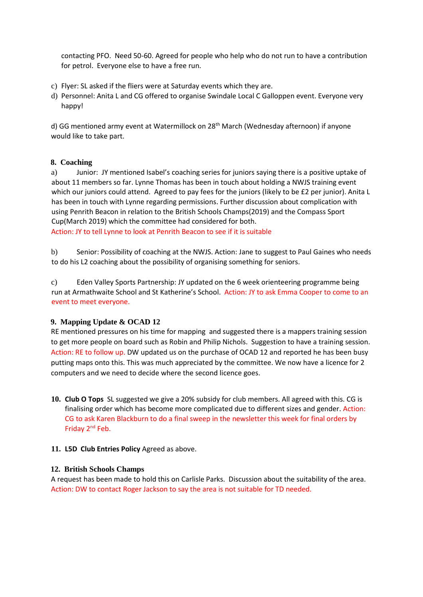contacting PFO. Need 50-60. Agreed for people who help who do not run to have a contribution for petrol. Everyone else to have a free run.

- c) Flyer: SL asked if the fliers were at Saturday events which they are.
- d) Personnel: Anita L and CG offered to organise Swindale Local C Galloppen event. Everyone very happy!

d) GG mentioned army event at Watermillock on 28<sup>th</sup> March (Wednesday afternoon) if anyone would like to take part.

## **8. Coaching**

a) Junior: JY mentioned Isabel's coaching series for juniors saying there is a positive uptake of about 11 members so far. Lynne Thomas has been in touch about holding a NWJS training event which our juniors could attend. Agreed to pay fees for the juniors (likely to be £2 per junior). Anita L has been in touch with Lynne regarding permissions. Further discussion about complication with using Penrith Beacon in relation to the British Schools Champs(2019) and the Compass Sport Cup(March 2019) which the committee had considered for both. Action: JY to tell Lynne to look at Penrith Beacon to see if it is suitable

b) Senior: Possibility of coaching at the NWJS. Action: Jane to suggest to Paul Gaines who needs to do his L2 coaching about the possibility of organising something for seniors.

c) Eden Valley Sports Partnership: JY updated on the 6 week orienteering programme being run at Armathwaite School and St Katherine's School. Action: JY to ask Emma Cooper to come to an event to meet everyone.

## **9. Mapping Update & OCAD 12**

RE mentioned pressures on his time for mapping and suggested there is a mappers training session to get more people on board such as Robin and Philip Nichols. Suggestion to have a training session. Action: RE to follow up. DW updated us on the purchase of OCAD 12 and reported he has been busy putting maps onto this. This was much appreciated by the committee. We now have a licence for 2 computers and we need to decide where the second licence goes.

**10. Club O Tops** SL suggested we give a 20% subsidy for club members. All agreed with this. CG is finalising order which has become more complicated due to different sizes and gender. Action: CG to ask Karen Blackburn to do a final sweep in the newsletter this week for final orders by Friday 2nd Feb.

## **11. L5D Club Entries Policy** Agreed as above.

## **12. British Schools Champs**

A request has been made to hold this on Carlisle Parks. Discussion about the suitability of the area. Action: DW to contact Roger Jackson to say the area is not suitable for TD needed.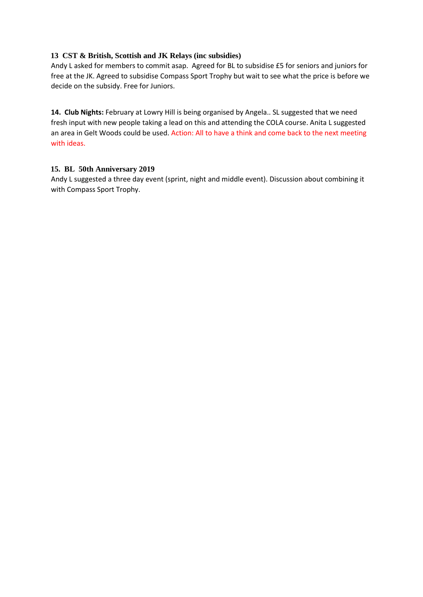## **13 CST & British, Scottish and JK Relays (inc subsidies)**

Andy L asked for members to commit asap. Agreed for BL to subsidise £5 for seniors and juniors for free at the JK. Agreed to subsidise Compass Sport Trophy but wait to see what the price is before we decide on the subsidy. Free for Juniors.

14. Club Nights: February at Lowry Hill is being organised by Angela.. SL suggested that we need fresh input with new people taking a lead on this and attending the COLA course. Anita L suggested an area in Gelt Woods could be used. Action: All to have a think and come back to the next meeting with ideas.

## **15. BL 50th Anniversary 2019**

Andy L suggested a three day event (sprint, night and middle event). Discussion about combining it with Compass Sport Trophy.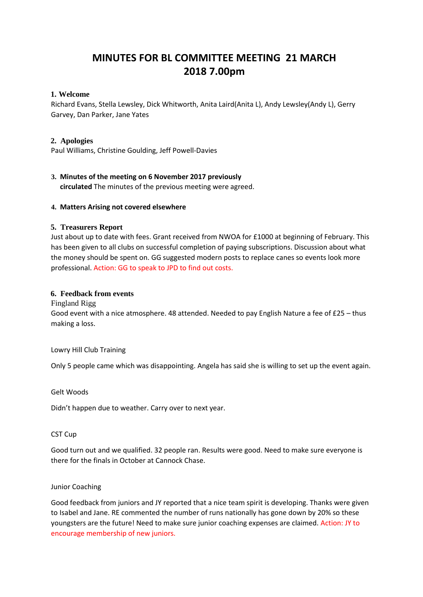## **MINUTES FOR BL COMMITTEE MEETING 21 MARCH 2018 7.00pm**

## **1. Welcome**

Richard Evans, Stella Lewsley, Dick Whitworth, Anita Laird(Anita L), Andy Lewsley(Andy L), Gerry Garvey, Dan Parker, Jane Yates

## **2. Apologies**

Paul Williams, Christine Goulding, Jeff Powell-Davies

## **3. Minutes of the meeting on 6 November 2017 previously**

**circulated** The minutes of the previous meeting were agreed.

## **4. Matters Arising not covered elsewhere**

## **5. Treasurers Report**

Just about up to date with fees. Grant received from NWOA for £1000 at beginning of February. This has been given to all clubs on successful completion of paying subscriptions. Discussion about what the money should be spent on. GG suggested modern posts to replace canes so events look more professional. Action: GG to speak to JPD to find out costs.

## **6. Feedback from events**

Fingland Rigg

Good event with a nice atmosphere. 48 attended. Needed to pay English Nature a fee of £25 – thus making a loss.

Lowry Hill Club Training

Only 5 people came which was disappointing. Angela has said she is willing to set up the event again.

Gelt Woods

Didn't happen due to weather. Carry over to next year.

## CST Cup

Good turn out and we qualified. 32 people ran. Results were good. Need to make sure everyone is there for the finals in October at Cannock Chase.

## Junior Coaching

Good feedback from juniors and JY reported that a nice team spirit is developing. Thanks were given to Isabel and Jane. RE commented the number of runs nationally has gone down by 20% so these youngsters are the future! Need to make sure junior coaching expenses are claimed. Action: JY to encourage membership of new juniors.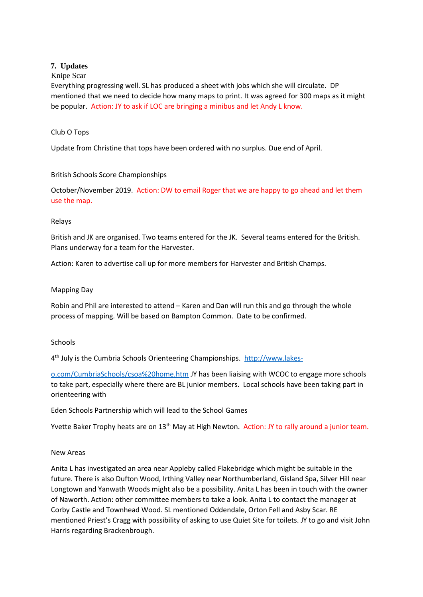## **7. Updates**

## Knipe Scar

Everything progressing well. SL has produced a sheet with jobs which she will circulate. DP mentioned that we need to decide how many maps to print. It was agreed for 300 maps as it might be popular. Action: JY to ask if LOC are bringing a minibus and let Andy L know.

## Club O Tops

Update from Christine that tops have been ordered with no surplus. Due end of April.

## British Schools Score Championships

October/November 2019. Action: DW to email Roger that we are happy to go ahead and let them use the map.

## Relays

British and JK are organised. Two teams entered for the JK. Several teams entered for the British. Plans underway for a team for the Harvester.

Action: Karen to advertise call up for more members for Harvester and British Champs.

## Mapping Day

Robin and Phil are interested to attend – Karen and Dan will run this and go through the whole process of mapping. Will be based on Bampton Common. Date to be confirmed.

## **Schools**

4<sup>th</sup> July is the Cumbria Schools Orienteering Championships. http://www.lakes-

o.com/CumbriaSchools/csoa%20home.htm JY has been liaising with WCOC to engage more schools to take part, especially where there are BL junior members. Local schools have been taking part in orienteering with

Eden Schools Partnership which will lead to the School Games

Yvette Baker Trophy heats are on 13<sup>th</sup> May at High Newton. Action: JY to rally around a junior team.

## New Areas

Anita L has investigated an area near Appleby called Flakebridge which might be suitable in the future. There is also Dufton Wood, Irthing Valley near Northumberland, Gisland Spa, Silver Hill near Longtown and Yanwath Woods might also be a possibility. Anita L has been in touch with the owner of Naworth. Action: other committee members to take a look. Anita L to contact the manager at Corby Castle and Townhead Wood. SL mentioned Oddendale, Orton Fell and Asby Scar. RE mentioned Priest's Cragg with possibility of asking to use Quiet Site for toilets. JY to go and visit John Harris regarding Brackenbrough.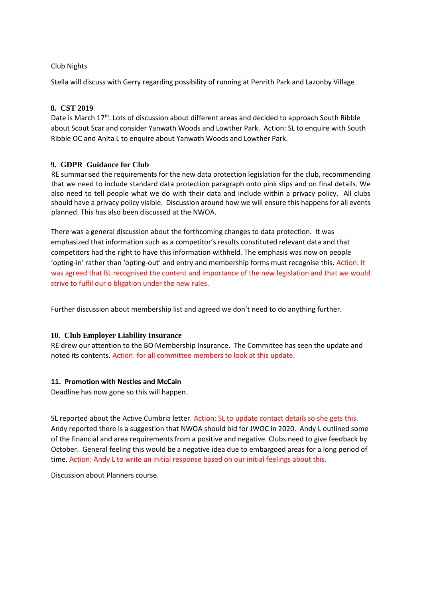## Club Nights

Stella will discuss with Gerry regarding possibility of running at Penrith Park and Lazonby Village

## **8. CST 2019**

Date is March  $17<sup>th</sup>$ . Lots of discussion about different areas and decided to approach South Ribble about Scout Scar and consider Yanwath Woods and Lowther Park. Action: SL to enquire with South Ribble OC and Anita L to enquire about Yanwath Woods and Lowther Park.

## **9. GDPR Guidance for Club**

RE summarised the requirements for the new data protection legislation for the club, recommending that we need to include standard data protection paragraph onto pink slips and on final details. We also need to tell people what we do with their data and include within a privacy policy. All clubs should have a privacy policy visible. Discussion around how we will ensure this happens for all events planned. This has also been discussed at the NWOA.

There was a general discussion about the forthcoming changes to data protection. It was emphasized that information such as a competitor's results constituted relevant data and that competitors had the right to have this information withheld. The emphasis was now on people 'opting-in' rather than 'opting-out' and entry and membership forms must recognise this. Action: It was agreed that BL recognised the content and importance of the new legislation and that we would strive to fulfil our o bligation under the new rules.

Further discussion about membership list and agreed we don't need to do anything further.

## **10. Club Employer Liability Insurance**

RE drew our attention to the BO Membership Insurance. The Committee has seen the update and noted its contents. Action: for all committee members to look at this update.

## **11. Promotion with Nestles and McCain**

Deadline has now gone so this will happen.

SL reported about the Active Cumbria letter. Action: SL to update contact details so she gets this. Andy reported there is a suggestion that NWOA should bid for JWOC in 2020. Andy L outlined some of the financial and area requirements from a positive and negative. Clubs need to give feedback by October. General feeling this would be a negative idea due to embargoed areas for a long period of time. Action: Andy L to write an initial response based on our initial feelings about this.

Discussion about Planners course.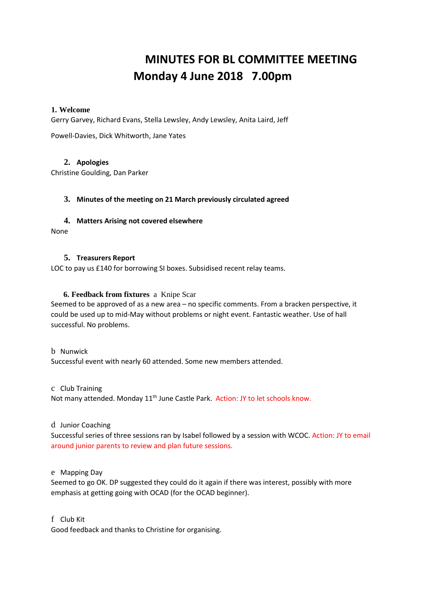# **MINUTES FOR BL COMMITTEE MEETING Monday 4 June 2018 7.00pm**

## **1. Welcome**

Gerry Garvey, Richard Evans, Stella Lewsley, Andy Lewsley, Anita Laird, Jeff

Powell-Davies, Dick Whitworth, Jane Yates

## **2. Apologies**

Christine Goulding, Dan Parker

## **3. Minutes of the meeting on 21 March previously circulated agreed**

## **4. Matters Arising not covered elsewhere**

None

## **5. Treasurers Report**

LOC to pay us £140 for borrowing SI boxes. Subsidised recent relay teams.

## **6. Feedback from fixtures** a Knipe Scar

Seemed to be approved of as a new area – no specific comments. From a bracken perspective, it could be used up to mid-May without problems or night event. Fantastic weather. Use of hall successful. No problems.

## b Nunwick

Successful event with nearly 60 attended. Some new members attended.

#### c Club Training

Not many attended. Monday 11<sup>th</sup> June Castle Park. Action: JY to let schools know.

## d Junior Coaching

Successful series of three sessions ran by Isabel followed by a session with WCOC. Action: JY to email around junior parents to review and plan future sessions.

## e Mapping Day

Seemed to go OK. DP suggested they could do it again if there was interest, possibly with more emphasis at getting going with OCAD (for the OCAD beginner).

## f Club Kit

Good feedback and thanks to Christine for organising.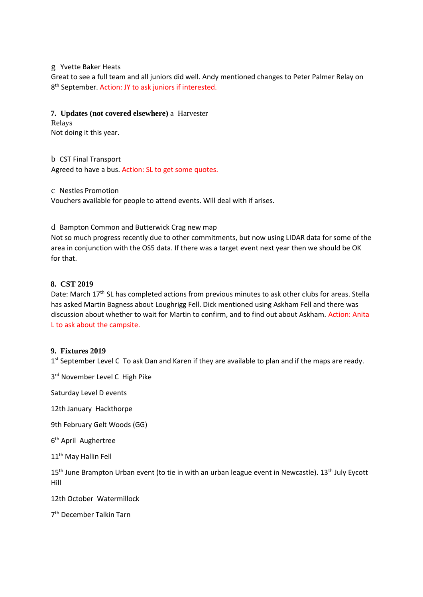g Yvette Baker Heats

Great to see a full team and all juniors did well. Andy mentioned changes to Peter Palmer Relay on 8 th September. Action: JY to ask juniors if interested.

**7. Updates (not covered elsewhere)** a Harvester

Relays Not doing it this year.

b CST Final Transport Agreed to have a bus. Action: SL to get some quotes.

c Nestles Promotion

Vouchers available for people to attend events. Will deal with if arises.

d Bampton Common and Butterwick Crag new map

Not so much progress recently due to other commitments, but now using LIDAR data for some of the area in conjunction with the OS5 data. If there was a target event next year then we should be OK for that.

## **8. CST 2019**

Date: March 17<sup>th</sup> SL has completed actions from previous minutes to ask other clubs for areas. Stella has asked Martin Bagness about Loughrigg Fell. Dick mentioned using Askham Fell and there was discussion about whether to wait for Martin to confirm, and to find out about Askham. Action: Anita L to ask about the campsite.

## **9. Fixtures 2019**

1<sup>st</sup> September Level C To ask Dan and Karen if they are available to plan and if the maps are ready.

3<sup>rd</sup> November Level C High Pike

Saturday Level D events

12th January Hackthorpe

9th February Gelt Woods (GG)

6<sup>th</sup> April Aughertree

11<sup>th</sup> May Hallin Fell

15<sup>th</sup> June Brampton Urban event (to tie in with an urban league event in Newcastle). 13<sup>th</sup> July Eycott Hill

12th October Watermillock

7 th December Talkin Tarn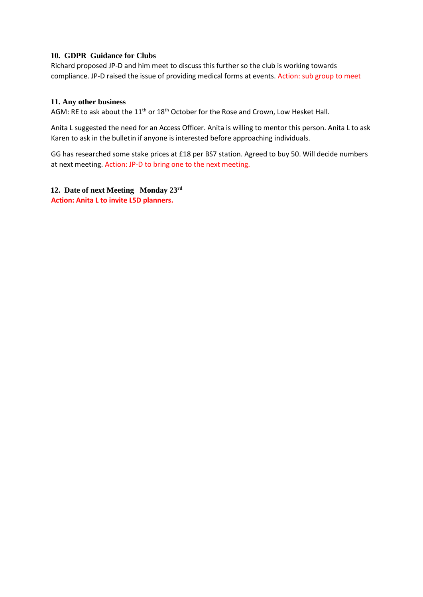## **10. GDPR Guidance for Clubs**

Richard proposed JP-D and him meet to discuss this further so the club is working towards compliance. JP-D raised the issue of providing medical forms at events. Action: sub group to meet

## **11. Any other business**

AGM: RE to ask about the  $11<sup>th</sup>$  or  $18<sup>th</sup>$  October for the Rose and Crown, Low Hesket Hall.

Anita L suggested the need for an Access Officer. Anita is willing to mentor this person. Anita L to ask Karen to ask in the bulletin if anyone is interested before approaching individuals.

GG has researched some stake prices at £18 per BS7 station. Agreed to buy 50. Will decide numbers at next meeting. Action: JP-D to bring one to the next meeting.

**12. Date of next Meeting Monday 23rd Action: Anita L to invite L5D planners.**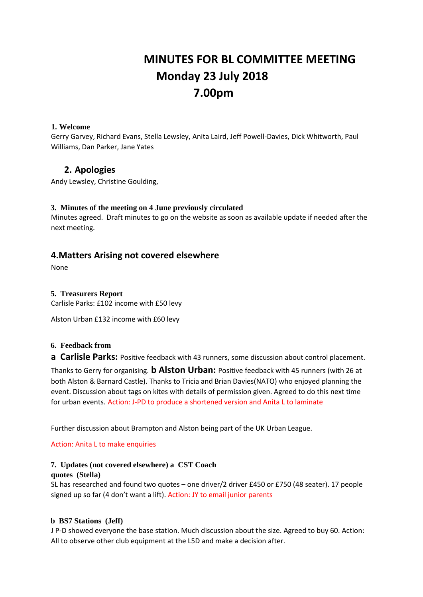# **MINUTES FOR BL COMMITTEE MEETING Monday 23 July 2018 7.00pm**

## **1. Welcome**

Gerry Garvey, Richard Evans, Stella Lewsley, Anita Laird, Jeff Powell-Davies, Dick Whitworth, Paul Williams, Dan Parker, Jane Yates

## **2. Apologies**

Andy Lewsley, Christine Goulding,

## **3. Minutes of the meeting on 4 June previously circulated**

Minutes agreed. Draft minutes to go on the website as soon as available update if needed after the next meeting.

## **4.Matters Arising not covered elsewhere**

None

## **5. Treasurers Report**

Carlisle Parks: £102 income with £50 levy

Alston Urban £132 income with £60 levy

## **6. Feedback from**

**a Carlisle Parks:** Positive feedback with 43 runners, some discussion about control placement.

Thanks to Gerry for organising. **b Alston Urban:** Positive feedback with 45 runners (with 26 at both Alston & Barnard Castle). Thanks to Tricia and Brian Davies(NATO) who enjoyed planning the event. Discussion about tags on kites with details of permission given. Agreed to do this next time for urban events. Action: J-PD to produce a shortened version and Anita L to laminate

Further discussion about Brampton and Alston being part of the UK Urban League.

Action: Anita L to make enquiries

## **7. Updates (not covered elsewhere) a CST Coach**

#### **quotes (Stella)**

SL has researched and found two quotes – one driver/2 driver £450 or £750 (48 seater). 17 people signed up so far (4 don't want a lift). Action: JY to email junior parents

## **b BS7 Stations (Jeff)**

J P-D showed everyone the base station. Much discussion about the size. Agreed to buy 60. Action: All to observe other club equipment at the L5D and make a decision after.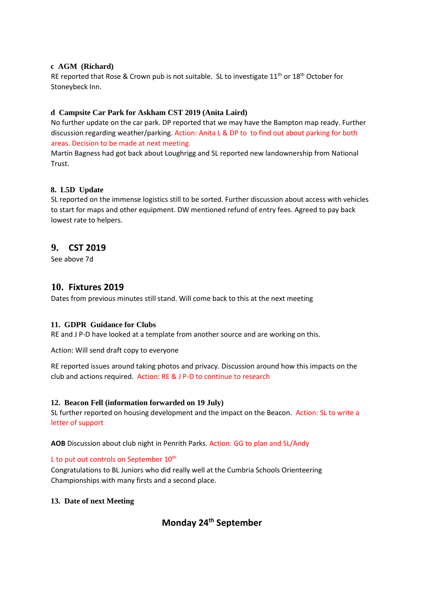## **c AGM (Richard)**

RE reported that Rose & Crown pub is not suitable. SL to investigate 11<sup>th</sup> or 18<sup>th</sup> October for Stoneybeck Inn.

## **d Campsite Car Park for Askham CST 2019 (Anita Laird)**

No further update on the car park. DP reported that we may have the Bampton map ready. Further discussion regarding weather/parking. Action: Anita L & DP to to find out about parking for both areas. Decision to be made at next meeting.

Martin Bagness had got back about Loughrigg and SL reported new landownership from National Trust.

## **8. L5D Update**

SL reported on the immense logistics still to be sorted. Further discussion about access with vehicles to start for maps and other equipment. DW mentioned refund of entry fees. Agreed to pay back lowest rate to helpers.

## **9. CST 2019**

See above 7d

## **10. Fixtures 2019**

Dates from previous minutes still stand. Will come back to this at the next meeting

## **11. GDPR Guidance for Clubs**

RE and J P-D have looked at a template from another source and are working on this.

Action: Will send draft copy to everyone

RE reported issues around taking photos and privacy. Discussion around how this impacts on the club and actions required. Action: RE & J P-D to continue to research

## **12. Beacon Fell (information forwarded on 19 July)**

SL further reported on housing development and the impact on the Beacon. Action: SL to write a letter of support

**AOB** Discussion about club night in Penrith Parks. Action: GG to plan and SL/Andy

## L to put out controls on September  $10^{th}$

Congratulations to BL Juniors who did really well at the Cumbria Schools Orienteering Championships with many firsts and a second place.

## **13. Date of next Meeting**

## **Monday 24th September**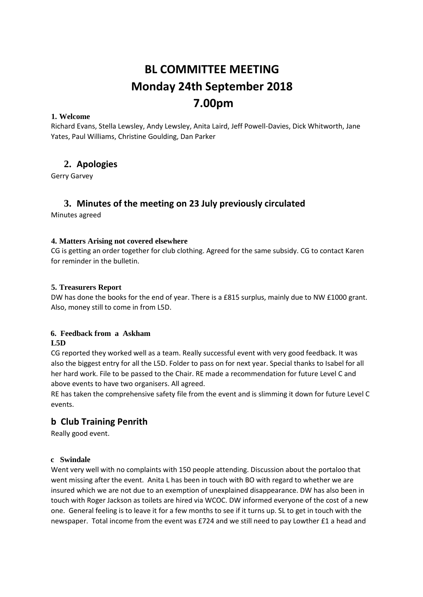# **BL COMMITTEE MEETING Monday 24th September 2018 7.00pm**

## **1. Welcome**

Richard Evans, Stella Lewsley, Andy Lewsley, Anita Laird, Jeff Powell-Davies, Dick Whitworth, Jane Yates, Paul Williams, Christine Goulding, Dan Parker

## **2. Apologies**

Gerry Garvey

## **3. Minutes of the meeting on 23 July previously circulated**

Minutes agreed

## **4. Matters Arising not covered elsewhere**

CG is getting an order together for club clothing. Agreed for the same subsidy. CG to contact Karen for reminder in the bulletin.

## **5. Treasurers Report**

DW has done the books for the end of year. There is a £815 surplus, mainly due to NW £1000 grant. Also, money still to come in from L5D.

## **6. Feedback from a Askham L5D**

CG reported they worked well as a team. Really successful event with very good feedback. It was also the biggest entry for all the L5D. Folder to pass on for next year. Special thanks to Isabel for all her hard work. File to be passed to the Chair. RE made a recommendation for future Level C and above events to have two organisers. All agreed.

RE has taken the comprehensive safety file from the event and is slimming it down for future Level C events.

## **b Club Training Penrith**

Really good event.

## **c Swindale**

Went very well with no complaints with 150 people attending. Discussion about the portaloo that went missing after the event. Anita L has been in touch with BO with regard to whether we are insured which we are not due to an exemption of unexplained disappearance. DW has also been in touch with Roger Jackson as toilets are hired via WCOC. DW informed everyone of the cost of a new one. General feeling is to leave it for a few months to see if it turns up. SL to get in touch with the newspaper. Total income from the event was £724 and we still need to pay Lowther £1 a head and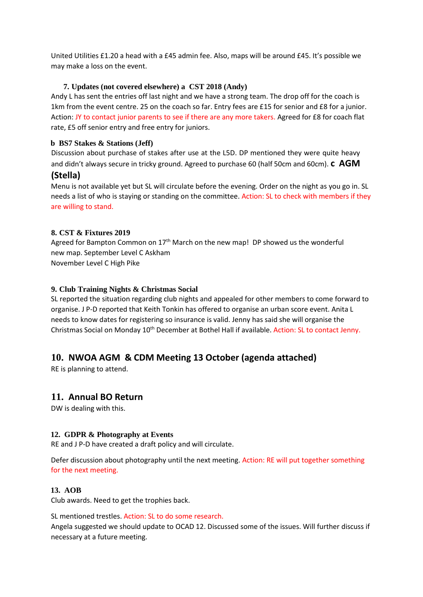United Utilities £1.20 a head with a £45 admin fee. Also, maps will be around £45. It's possible we may make a loss on the event.

## **7. Updates (not covered elsewhere) a CST 2018 (Andy)**

Andy L has sent the entries off last night and we have a strong team. The drop off for the coach is 1km from the event centre. 25 on the coach so far. Entry fees are £15 for senior and £8 for a junior. Action: JY to contact junior parents to see if there are any more takers. Agreed for £8 for coach flat rate, £5 off senior entry and free entry for juniors.

## **b BS7 Stakes & Stations (Jeff)**

Discussion about purchase of stakes after use at the L5D. DP mentioned they were quite heavy and didn't always secure in tricky ground. Agreed to purchase 60 (half 50cm and 60cm). **c AGM** 

## **(Stella)**

Menu is not available yet but SL will circulate before the evening. Order on the night as you go in. SL needs a list of who is staying or standing on the committee. Action: SL to check with members if they are willing to stand.

## **8. CST & Fixtures 2019**

Agreed for Bampton Common on  $17<sup>th</sup>$  March on the new map! DP showed us the wonderful new map. September Level C Askham November Level C High Pike

## **9. Club Training Nights & Christmas Social**

SL reported the situation regarding club nights and appealed for other members to come forward to organise. J P-D reported that Keith Tonkin has offered to organise an urban score event. Anita L needs to know dates for registering so insurance is valid. Jenny has said she will organise the Christmas Social on Monday 10<sup>th</sup> December at Bothel Hall if available. Action: SL to contact Jenny.

## **10. NWOA AGM & CDM Meeting 13 October (agenda attached)**

RE is planning to attend.

## **11. Annual BO Return**

DW is dealing with this.

## **12. GDPR & Photography at Events**

RE and J P-D have created a draft policy and will circulate.

Defer discussion about photography until the next meeting. Action: RE will put together something for the next meeting.

## **13. AOB**

Club awards. Need to get the trophies back.

SL mentioned trestles. Action: SL to do some research.

Angela suggested we should update to OCAD 12. Discussed some of the issues. Will further discuss if necessary at a future meeting.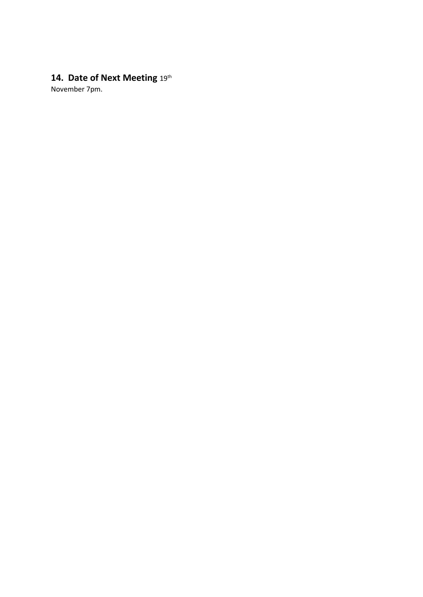## 14. Date of Next Meeting 19th

November 7pm.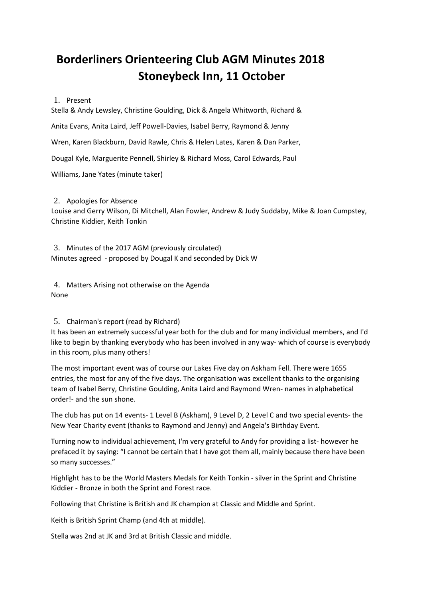# **Borderliners Orienteering Club AGM Minutes 2018 Stoneybeck Inn, 11 October**

## 1. Present

Stella & Andy Lewsley, Christine Goulding, Dick & Angela Whitworth, Richard &

Anita Evans, Anita Laird, Jeff Powell-Davies, Isabel Berry, Raymond & Jenny

Wren, Karen Blackburn, David Rawle, Chris & Helen Lates, Karen & Dan Parker,

Dougal Kyle, Marguerite Pennell, Shirley & Richard Moss, Carol Edwards, Paul

Williams, Jane Yates (minute taker)

## 2. Apologies for Absence

Louise and Gerry Wilson, Di Mitchell, Alan Fowler, Andrew & Judy Suddaby, Mike & Joan Cumpstey, Christine Kiddier, Keith Tonkin

3. Minutes of the 2017 AGM (previously circulated) Minutes agreed - proposed by Dougal K and seconded by Dick W

4. Matters Arising not otherwise on the Agenda None

## 5. Chairman's report (read by Richard)

It has been an extremely successful year both for the club and for many individual members, and I'd like to begin by thanking everybody who has been involved in any way- which of course is everybody in this room, plus many others!

The most important event was of course our Lakes Five day on Askham Fell. There were 1655 entries, the most for any of the five days. The organisation was excellent thanks to the organising team of Isabel Berry, Christine Goulding, Anita Laird and Raymond Wren- names in alphabetical order!- and the sun shone.

The club has put on 14 events- 1 Level B (Askham), 9 Level D, 2 Level C and two special events- the New Year Charity event (thanks to Raymond and Jenny) and Angela's Birthday Event.

Turning now to individual achievement, I'm very grateful to Andy for providing a list- however he prefaced it by saying: "I cannot be certain that I have got them all, mainly because there have been so many successes."

Highlight has to be the World Masters Medals for Keith Tonkin - silver in the Sprint and Christine Kiddier - Bronze in both the Sprint and Forest race.

Following that Christine is British and JK champion at Classic and Middle and Sprint.

Keith is British Sprint Champ (and 4th at middle).

Stella was 2nd at JK and 3rd at British Classic and middle.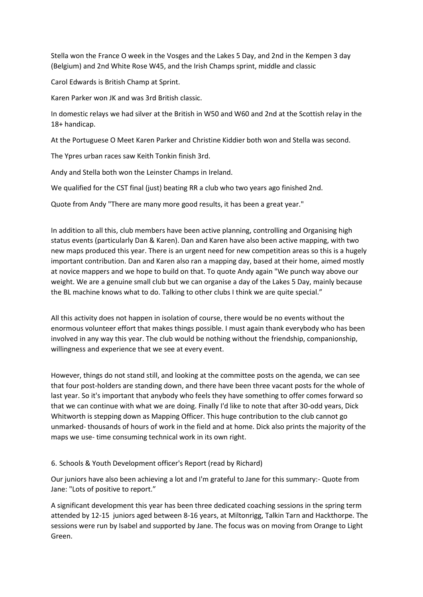Stella won the France O week in the Vosges and the Lakes 5 Day, and 2nd in the Kempen 3 day (Belgium) and 2nd White Rose W45, and the Irish Champs sprint, middle and classic

Carol Edwards is British Champ at Sprint.

Karen Parker won JK and was 3rd British classic.

In domestic relays we had silver at the British in W50 and W60 and 2nd at the Scottish relay in the 18+ handicap.

At the Portuguese O Meet Karen Parker and Christine Kiddier both won and Stella was second.

The Ypres urban races saw Keith Tonkin finish 3rd.

Andy and Stella both won the Leinster Champs in Ireland.

We qualified for the CST final (just) beating RR a club who two years ago finished 2nd.

Quote from Andy "There are many more good results, it has been a great year."

In addition to all this, club members have been active planning, controlling and Organising high status events (particularly Dan & Karen). Dan and Karen have also been active mapping, with two new maps produced this year. There is an urgent need for new competition areas so this is a hugely important contribution. Dan and Karen also ran a mapping day, based at their home, aimed mostly at novice mappers and we hope to build on that. To quote Andy again "We punch way above our weight. We are a genuine small club but we can organise a day of the Lakes 5 Day, mainly because the BL machine knows what to do. Talking to other clubs I think we are quite special."

All this activity does not happen in isolation of course, there would be no events without the enormous volunteer effort that makes things possible. I must again thank everybody who has been involved in any way this year. The club would be nothing without the friendship, companionship, willingness and experience that we see at every event.

However, things do not stand still, and looking at the committee posts on the agenda, we can see that four post-holders are standing down, and there have been three vacant posts for the whole of last year. So it's important that anybody who feels they have something to offer comes forward so that we can continue with what we are doing. Finally I'd like to note that after 30-odd years, Dick Whitworth is stepping down as Mapping Officer. This huge contribution to the club cannot go unmarked- thousands of hours of work in the field and at home. Dick also prints the majority of the maps we use- time consuming technical work in its own right.

## 6. Schools & Youth Development officer's Report (read by Richard)

Our juniors have also been achieving a lot and I'm grateful to Jane for this summary:- Quote from Jane: "Lots of positive to report."

A significant development this year has been three dedicated coaching sessions in the spring term attended by 12-15 juniors aged between 8-16 years, at Miltonrigg, Talkin Tarn and Hackthorpe. The sessions were run by Isabel and supported by Jane. The focus was on moving from Orange to Light Green.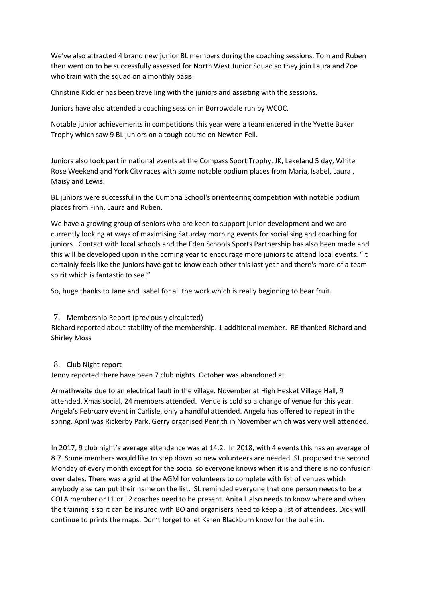We've also attracted 4 brand new junior BL members during the coaching sessions. Tom and Ruben then went on to be successfully assessed for North West Junior Squad so they join Laura and Zoe who train with the squad on a monthly basis.

Christine Kiddier has been travelling with the juniors and assisting with the sessions.

Juniors have also attended a coaching session in Borrowdale run by WCOC.

Notable junior achievements in competitions this year were a team entered in the Yvette Baker Trophy which saw 9 BL juniors on a tough course on Newton Fell.

Juniors also took part in national events at the Compass Sport Trophy, JK, Lakeland 5 day, White Rose Weekend and York City races with some notable podium places from Maria, Isabel, Laura , Maisy and Lewis.

BL juniors were successful in the Cumbria School's orienteering competition with notable podium places from Finn, Laura and Ruben.

We have a growing group of seniors who are keen to support junior development and we are currently looking at ways of maximising Saturday morning events for socialising and coaching for juniors. Contact with local schools and the Eden Schools Sports Partnership has also been made and this will be developed upon in the coming year to encourage more juniors to attend local events. "It certainly feels like the juniors have got to know each other this last year and there's more of a team spirit which is fantastic to see!"

So, huge thanks to Jane and Isabel for all the work which is really beginning to bear fruit.

## 7. Membership Report (previously circulated)

Richard reported about stability of the membership. 1 additional member. RE thanked Richard and Shirley Moss

## 8. Club Night report

Jenny reported there have been 7 club nights. October was abandoned at

Armathwaite due to an electrical fault in the village. November at High Hesket Village Hall, 9 attended. Xmas social, 24 members attended. Venue is cold so a change of venue for this year. Angela's February event in Carlisle, only a handful attended. Angela has offered to repeat in the spring. April was Rickerby Park. Gerry organised Penrith in November which was very well attended.

In 2017, 9 club night's average attendance was at 14.2. In 2018, with 4 events this has an average of 8.7. Some members would like to step down so new volunteers are needed. SL proposed the second Monday of every month except for the social so everyone knows when it is and there is no confusion over dates. There was a grid at the AGM for volunteers to complete with list of venues which anybody else can put their name on the list. SL reminded everyone that one person needs to be a COLA member or L1 or L2 coaches need to be present. Anita L also needs to know where and when the training is so it can be insured with BO and organisers need to keep a list of attendees. Dick will continue to prints the maps. Don't forget to let Karen Blackburn know for the bulletin.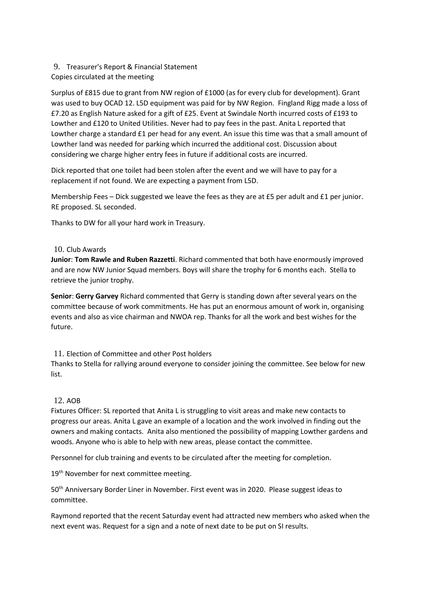## 9. Treasurer's Report & Financial Statement

## Copies circulated at the meeting

Surplus of £815 due to grant from NW region of £1000 (as for every club for development). Grant was used to buy OCAD 12. L5D equipment was paid for by NW Region. Fingland Rigg made a loss of £7.20 as English Nature asked for a gift of £25. Event at Swindale North incurred costs of £193 to Lowther and £120 to United Utilities. Never had to pay fees in the past. Anita L reported that Lowther charge a standard £1 per head for any event. An issue this time was that a small amount of Lowther land was needed for parking which incurred the additional cost. Discussion about considering we charge higher entry fees in future if additional costs are incurred.

Dick reported that one toilet had been stolen after the event and we will have to pay for a replacement if not found. We are expecting a payment from L5D.

Membership Fees – Dick suggested we leave the fees as they are at £5 per adult and £1 per junior. RE proposed. SL seconded.

Thanks to DW for all your hard work in Treasury.

## 10. Club Awards

**Junior**: **Tom Rawle and Ruben Razzetti**. Richard commented that both have enormously improved and are now NW Junior Squad members. Boys will share the trophy for 6 months each. Stella to retrieve the junior trophy.

**Senior**: **Gerry Garvey** Richard commented that Gerry is standing down after several years on the committee because of work commitments. He has put an enormous amount of work in, organising events and also as vice chairman and NWOA rep. Thanks for all the work and best wishes for the future.

## 11. Election of Committee and other Post holders

Thanks to Stella for rallying around everyone to consider joining the committee. See below for new list.

## 12. AOB

Fixtures Officer: SL reported that Anita L is struggling to visit areas and make new contacts to progress our areas. Anita L gave an example of a location and the work involved in finding out the owners and making contacts. Anita also mentioned the possibility of mapping Lowther gardens and woods. Anyone who is able to help with new areas, please contact the committee.

Personnel for club training and events to be circulated after the meeting for completion.

19<sup>th</sup> November for next committee meeting.

50th Anniversary Border Liner in November. First event was in 2020. Please suggest ideas to committee.

Raymond reported that the recent Saturday event had attracted new members who asked when the next event was. Request for a sign and a note of next date to be put on SI results.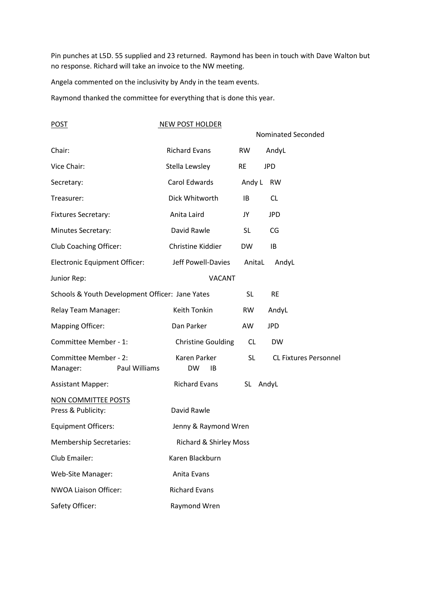Pin punches at L5D. 55 supplied and 23 returned. Raymond has been in touch with Dave Walton but no response. Richard will take an invoice to the NW meeting.

Angela commented on the inclusivity by Andy in the team events.

Raymond thanked the committee for everything that is done this year.

| <b>POST</b>                                     |               | <b>NEW POST HOLDER</b>            |           |                    |                              |
|-------------------------------------------------|---------------|-----------------------------------|-----------|--------------------|------------------------------|
|                                                 |               |                                   |           | Nominated Seconded |                              |
| Chair:                                          |               | <b>Richard Evans</b>              | RW.       | AndyL              |                              |
| Vice Chair:                                     |               | Stella Lewsley                    | <b>RE</b> | <b>JPD</b>         |                              |
| Secretary:                                      |               | Carol Edwards                     | Andy L    | <b>RW</b>          |                              |
| Treasurer:                                      |               | Dick Whitworth                    | IB        | <b>CL</b>          |                              |
| Fixtures Secretary:                             |               | Anita Laird                       | JY        | <b>JPD</b>         |                              |
| Minutes Secretary:                              |               | David Rawle                       | <b>SL</b> | CG                 |                              |
| <b>Club Coaching Officer:</b>                   |               | Christine Kiddier                 | <b>DW</b> | IB                 |                              |
| <b>Electronic Equipment Officer:</b>            |               | Jeff Powell-Davies                | AnitaL    | AndyL              |                              |
| Junior Rep:                                     |               | <b>VACANT</b>                     |           |                    |                              |
| Schools & Youth Development Officer: Jane Yates |               |                                   | <b>SL</b> | <b>RE</b>          |                              |
| <b>Relay Team Manager:</b>                      |               | Keith Tonkin                      | <b>RW</b> | AndyL              |                              |
| <b>Mapping Officer:</b>                         |               | Dan Parker                        | AW        | <b>JPD</b>         |                              |
| Committee Member - 1:                           |               | <b>Christine Goulding</b>         | <b>CL</b> | <b>DW</b>          |                              |
| Committee Member - 2:<br>Manager:               | Paul Williams | Karen Parker<br><b>DW</b><br>ΙB   | <b>SL</b> |                    | <b>CL Fixtures Personnel</b> |
| <b>Assistant Mapper:</b>                        |               | <b>Richard Evans</b>              | SL AndyL  |                    |                              |
| NON COMMITTEE POSTS<br>Press & Publicity:       |               | David Rawle                       |           |                    |                              |
| <b>Equipment Officers:</b>                      |               | Jenny & Raymond Wren              |           |                    |                              |
| <b>Membership Secretaries:</b>                  |               | <b>Richard &amp; Shirley Moss</b> |           |                    |                              |
| Club Emailer:                                   |               | Karen Blackburn                   |           |                    |                              |
|                                                 |               |                                   |           |                    |                              |
| Web-Site Manager:                               |               | Anita Evans                       |           |                    |                              |
| <b>NWOA Liaison Officer:</b>                    |               | <b>Richard Evans</b>              |           |                    |                              |
| Safety Officer:                                 |               | Raymond Wren                      |           |                    |                              |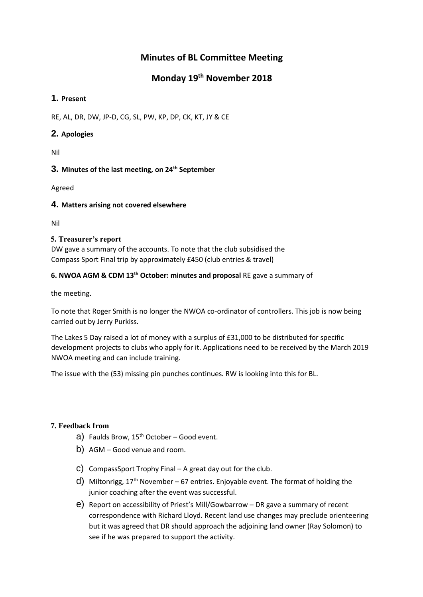## **Minutes of BL Committee Meeting**

## **Monday 19th November 2018**

## **1. Present**

RE, AL, DR, DW, JP-D, CG, SL, PW, KP, DP, CK, KT, JY & CE

## **2. Apologies**

Nil

## **3. Minutes of the last meeting, on 24th September**

Agreed

## **4. Matters arising not covered elsewhere**

Nil

## **5. Treasurer's report**

DW gave a summary of the accounts. To note that the club subsidised the Compass Sport Final trip by approximately £450 (club entries & travel)

## **6. NWOA AGM & CDM 13th October: minutes and proposal** RE gave a summary of

the meeting.

To note that Roger Smith is no longer the NWOA co-ordinator of controllers. This job is now being carried out by Jerry Purkiss.

The Lakes 5 Day raised a lot of money with a surplus of £31,000 to be distributed for specific development projects to clubs who apply for it. Applications need to be received by the March 2019 NWOA meeting and can include training.

The issue with the (53) missing pin punches continues. RW is looking into this for BL.

## **7. Feedback from**

- a) Faulds Brow,  $15^{th}$  October Good event.
- b) AGM Good venue and room.
- c) CompassSport Trophy Final A great day out for the club.
- d) Miltonrigg,  $17<sup>th</sup>$  November 67 entries. Enjoyable event. The format of holding the junior coaching after the event was successful.
- e) Report on accessibility of Priest's Mill/Gowbarrow DR gave a summary of recent correspondence with Richard Lloyd. Recent land use changes may preclude orienteering but it was agreed that DR should approach the adjoining land owner (Ray Solomon) to see if he was prepared to support the activity.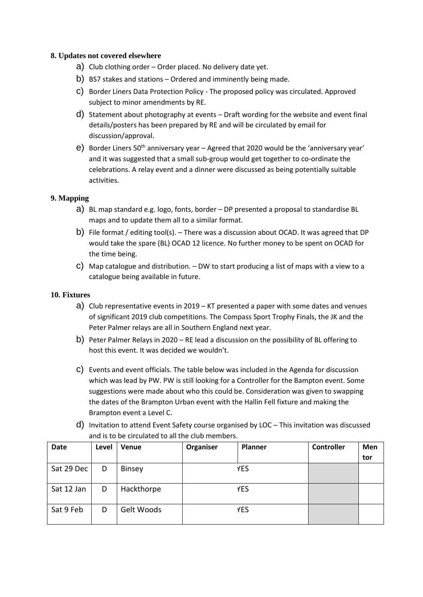## **8. Updates not covered elsewhere**

- a) Club clothing order Order placed. No delivery date yet.
- b) BS7 stakes and stations Ordered and imminently being made.
- c) Border Liners Data Protection Policy The proposed policy was circulated. Approved subject to minor amendments by RE.
- d) Statement about photography at events Draft wording for the website and event final details/posters has been prepared by RE and will be circulated by email for discussion/approval.
- e) Border Liners 50<sup>th</sup> anniversary year Agreed that 2020 would be the 'anniversary year' and it was suggested that a small sub-group would get together to co-ordinate the celebrations. A relay event and a dinner were discussed as being potentially suitable activities.

## **9. Mapping**

- a) BL map standard e.g. logo, fonts, border DP presented a proposal to standardise BL maps and to update them all to a similar format.
- b) File format / editing tool(s). There was a discussion about OCAD. It was agreed that DP would take the spare (BL) OCAD 12 licence. No further money to be spent on OCAD for the time being.
- c) Map catalogue and distribution. DW to start producing a list of maps with a view to a catalogue being available in future.

## **10. Fixtures**

- a) Club representative events in 2019 KT presented a paper with some dates and venues of significant 2019 club competitions. The Compass Sport Trophy Finals, the JK and the Peter Palmer relays are all in Southern England next year.
- b) Peter Palmer Relays in 2020 RE lead a discussion on the possibility of BL offering to host this event. It was decided we wouldn't.
- c) Events and event officials. The table below was included in the Agenda for discussion which was lead by PW. PW is still looking for a Controller for the Bampton event. Some suggestions were made about who this could be. Consideration was given to swapping the dates of the Brampton Urban event with the Hallin Fell fixture and making the Brampton event a Level C.
- d) Invitation to attend Event Safety course organised by LOC This invitation was discussed and is to be circulated to all the club members.

| <b>Date</b> | Level | Venue         | Organiser | Planner | Controller | Men |
|-------------|-------|---------------|-----------|---------|------------|-----|
|             |       |               |           |         |            | tor |
| Sat 29 Dec  | D     | <b>Binsey</b> |           | YES     |            |     |
| Sat 12 Jan  | D     | Hackthorpe    |           | YES     |            |     |
| Sat 9 Feb   | D     | Gelt Woods    |           | YES     |            |     |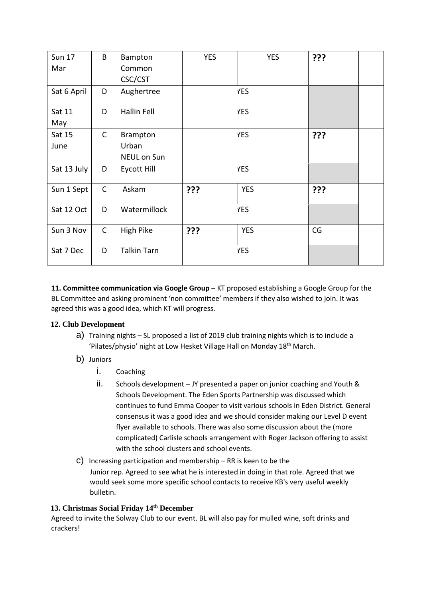| <b>Sun 17</b> | B            | Bampton            | <b>YES</b> | <b>YES</b> | ??? |  |
|---------------|--------------|--------------------|------------|------------|-----|--|
| Mar           |              | Common             |            |            |     |  |
|               |              | CSC/CST            |            |            |     |  |
| Sat 6 April   | D            | Aughertree         | <b>YES</b> |            |     |  |
| Sat 11        | D            | <b>Hallin Fell</b> | <b>YES</b> |            |     |  |
| May           |              |                    |            |            |     |  |
| Sat 15        | $\mathsf{C}$ | Brampton           | <b>YES</b> |            | ??? |  |
| June          |              | Urban              |            |            |     |  |
|               |              | <b>NEUL on Sun</b> |            |            |     |  |
| Sat 13 July   | D            | Eycott Hill        | <b>YES</b> |            |     |  |
| Sun 1 Sept    | $\mathsf{C}$ | Askam              | ???        | <b>YES</b> | ??? |  |
| Sat 12 Oct    | D            | Watermillock       | <b>YES</b> |            |     |  |
| Sun 3 Nov     | $\mathsf{C}$ | High Pike          | ???        | <b>YES</b> | CG  |  |
| Sat 7 Dec     | D            | <b>Talkin Tarn</b> |            | <b>YES</b> |     |  |

**11. Committee communication via Google Group** - KT proposed establishing a Google Group for the BL Committee and asking prominent 'non committee' members if they also wished to join. It was agreed this was a good idea, which KT will progress.

## **12. Club Development**

- a) Training nights SL proposed a list of 2019 club training nights which is to include a 'Pilates/physio' night at Low Hesket Village Hall on Monday 18<sup>th</sup> March.
- b) Juniors
	- i. Coaching
	- ii. Schools development JY presented a paper on junior coaching and Youth & Schools Development. The Eden Sports Partnership was discussed which continues to fund Emma Cooper to visit various schools in Eden District. General consensus it was a good idea and we should consider making our Level D event flyer available to schools. There was also some discussion about the (more complicated) Carlisle schools arrangement with Roger Jackson offering to assist with the school clusters and school events.
- c) Increasing participation and membership  $-$  RR is keen to be the Junior rep. Agreed to see what he is interested in doing in that role. Agreed that we would seek some more specific school contacts to receive KB's very useful weekly bulletin.

## **13. Christmas Social Friday 14th December**

Agreed to invite the Solway Club to our event. BL will also pay for mulled wine, soft drinks and crackers!